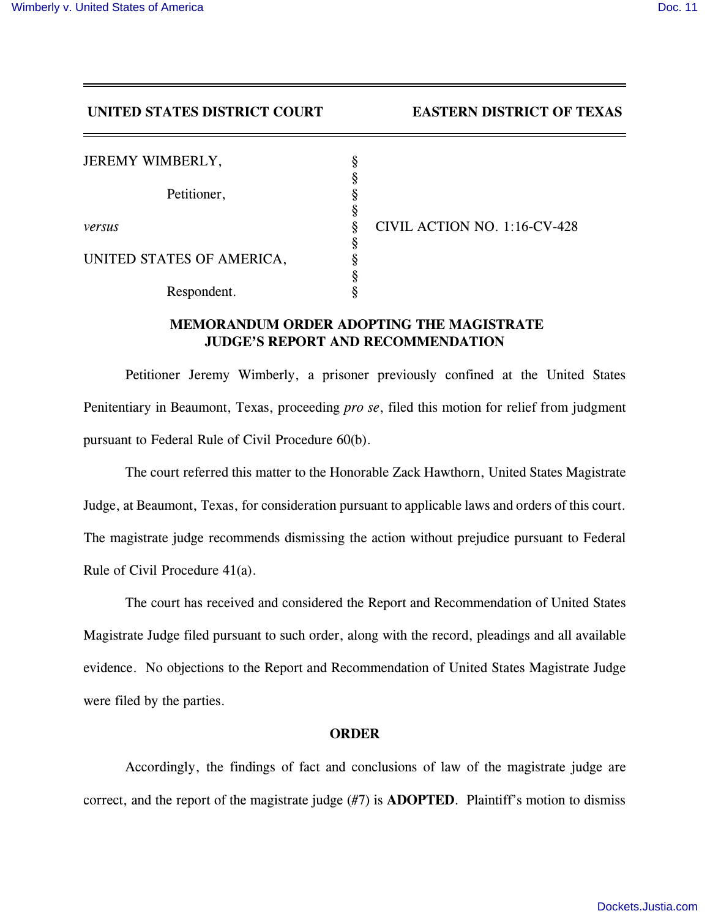## **UNITED STATES DISTRICT COURT EASTERN DISTRICT OF TEXAS**

| JEREMY WIMBERLY,          | ş |                              |
|---------------------------|---|------------------------------|
|                           | O |                              |
| Petitioner,               |   |                              |
|                           | 8 |                              |
| versus                    | 8 | CIVIL ACTION NO. 1:16-CV-428 |
|                           | ş |                              |
| UNITED STATES OF AMERICA, | ດ |                              |
|                           |   |                              |
| Respondent.               |   |                              |

## **MEMORANDUM ORDER ADOPTING THE MAGISTRATE JUDGE'S REPORT AND RECOMMENDATION**

Petitioner Jeremy Wimberly, a prisoner previously confined at the United States Penitentiary in Beaumont, Texas, proceeding *pro se*, filed this motion for relief from judgment pursuant to Federal Rule of Civil Procedure 60(b).

The court referred this matter to the Honorable Zack Hawthorn, United States Magistrate Judge, at Beaumont, Texas, for consideration pursuant to applicable laws and orders of this court. The magistrate judge recommends dismissing the action without prejudice pursuant to Federal Rule of Civil Procedure 41(a).

The court has received and considered the Report and Recommendation of United States Magistrate Judge filed pursuant to such order, along with the record, pleadings and all available evidence. No objections to the Report and Recommendation of United States Magistrate Judge were filed by the parties.

## **ORDER**

Accordingly, the findings of fact and conclusions of law of the magistrate judge are correct, and the report of the magistrate judge (#7) is **ADOPTED**. Plaintiff's motion to dismiss